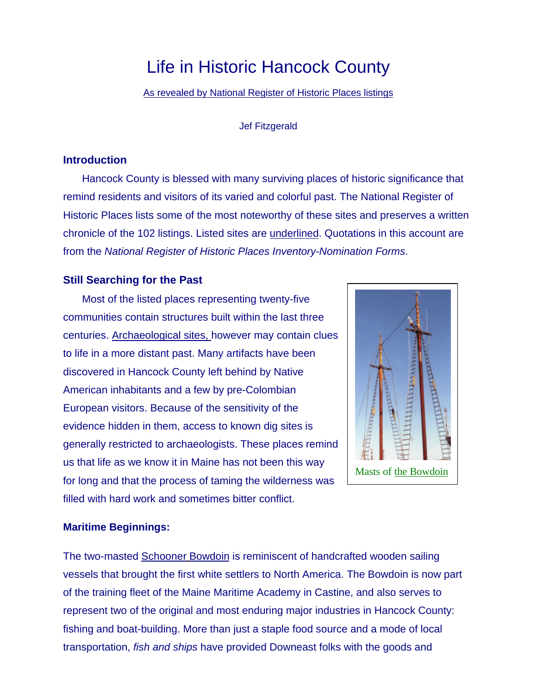# Life in Historic Hancock County

As revealed by National Register of Historic Places listings

#### Jef Fitzgerald

#### **Introduction**

Hancock County is blessed with many surviving places of historic significance that remind residents and visitors of its varied and colorful past. The National Register of Historic Places lists some of the most noteworthy of these sites and preserves a written chronicle of the 102 listings. Listed sites are underlined. Quotations in this account are from the *National Register of Historic Places Inventory-Nomination Forms*.

### **Still Searching for the Past**

Most of the listed places representing twenty-five communities contain structures built within the last three centuries. Archaeological sites, however may contain clues to life in a more distant past. Many artifacts have been discovered in Hancock County left behind by Native American inhabitants and a few by pre-Colombian European visitors. Because of the sensitivity of the evidence hidden in them, access to known dig sites is generally restricted to archaeologists. These places remind us that life as we know it in Maine has not been this way for long and that the process of taming the wilderness was filled with hard work and sometimes bitter conflict.



#### **Maritime Beginnings:**

The two-masted Schooner Bowdoin is reminiscent of handcrafted wooden sailing vessels that brought the first white settlers to North America. The Bowdoin is now part of the training fleet of the Maine Maritime Academy in Castine, and also serves to represent two of the original and most enduring major industries in Hancock County: fishing and boat-building. More than just a staple food source and a mode of local transportation, *fish and ships* have provided Downeast folks with the goods and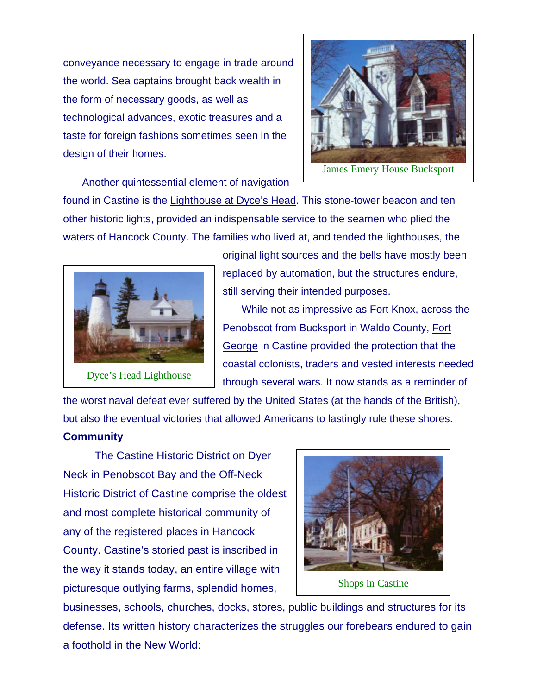conveyance necessary to engage in trade around the world. Sea captains brought back wealth in the form of necessary goods, as well as technological advances, exotic treasures and a taste for foreign fashions sometimes seen in the design of their homes.



Another quintessential element of navigation

found in Castine is the Lighthouse at Dyce's Head. This stone-tower beacon and ten other historic lights, provided an indispensable service to the seamen who plied the waters of Hancock County. The families who lived at, and tended the lighthouses, the



original light sources and the bells have mostly been replaced by automation, but the structures endure, still serving their intended purposes.

While not as impressive as Fort Knox, across the Penobscot from Bucksport in Waldo County, Fort George in Castine provided the protection that the coastal colonists, traders and vested interests needed through several wars. It now stands as a reminder of

the worst naval defeat ever suffered by the United States (at the hands of the British), but also the eventual victories that allowed Americans to lastingly rule these shores. **Community**

The Castine Historic District on Dyer Neck in Penobscot Bay and the Off-Neck Historic District of Castine comprise the oldest and most complete historical community of any of the registered places in Hancock County. Castine's storied past is inscribed in the way it stands today, an entire village with picturesque outlying farms, splendid homes,



businesses, schools, churches, docks, stores, public buildings and structures for its defense. Its written history characterizes the struggles our forebears endured to gain a foothold in the New World: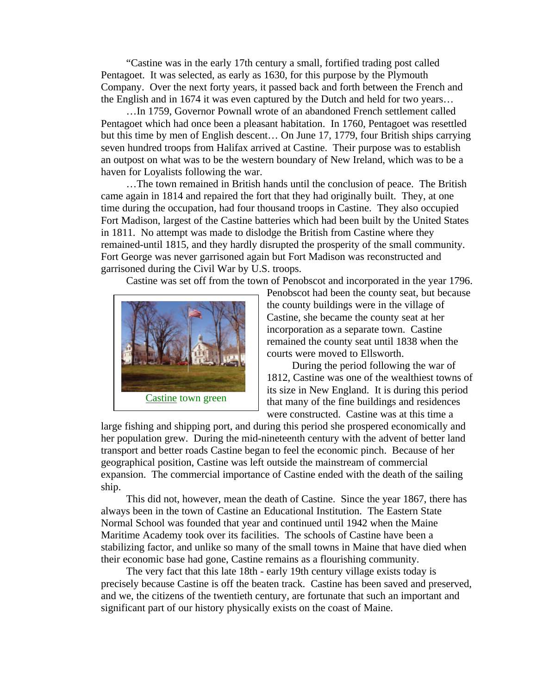"Castine was in the early 17th century a small, fortified trading post called Pentagoet. It was selected, as early as 1630, for this purpose by the Plymouth Company. Over the next forty years, it passed back and forth between the French and the English and in 1674 it was even captured by the Dutch and held for two years…

…In 1759, Governor Pownall wrote of an abandoned French settlement called Pentagoet which had once been a pleasant habitation. In 1760, Pentagoet was resettled but this time by men of English descent… On June 17, 1779, four British ships carrying seven hundred troops from Halifax arrived at Castine. Their purpose was to establish an outpost on what was to be the western boundary of New Ireland, which was to be a haven for Loyalists following the war.

…The town remained in British hands until the conclusion of peace. The British came again in 1814 and repaired the fort that they had originally built. They, at one time during the occupation, had four thousand troops in Castine. They also occupied Fort Madison, largest of the Castine batteries which had been built by the United States in 1811. No attempt was made to dislodge the British from Castine where they remained-until 1815, and they hardly disrupted the prosperity of the small community. Fort George was never garrisoned again but Fort Madison was reconstructed and garrisoned during the Civil War by U.S. troops.

Castine was set off from the town of Penobscot and incorporated in the year 1796.



Penobscot had been the county seat, but because the county buildings were in the village of Castine, she became the county seat at her incorporation as a separate town. Castine remained the county seat until 1838 when the courts were moved to Ellsworth.

During the period following the war of 1812, Castine was one of the wealthiest towns of its size in New England. It is during this period that many of the fine buildings and residences were constructed. Castine was at this time a

large fishing and shipping port, and during this period she prospered economically and her population grew. During the mid-nineteenth century with the advent of better land transport and better roads Castine began to feel the economic pinch. Because of her geographical position, Castine was left outside the mainstream of commercial expansion. The commercial importance of Castine ended with the death of the sailing ship.

This did not, however, mean the death of Castine. Since the year 1867, there has always been in the town of Castine an Educational Institution. The Eastern State Normal School was founded that year and continued until 1942 when the Maine Maritime Academy took over its facilities. The schools of Castine have been a stabilizing factor, and unlike so many of the small towns in Maine that have died when their economic base had gone, Castine remains as a flourishing community.

The very fact that this late 18th - early 19th century village exists today is precisely because Castine is off the beaten track. Castine has been saved and preserved, and we, the citizens of the twentieth century, are fortunate that such an important and significant part of our history physically exists on the coast of Maine.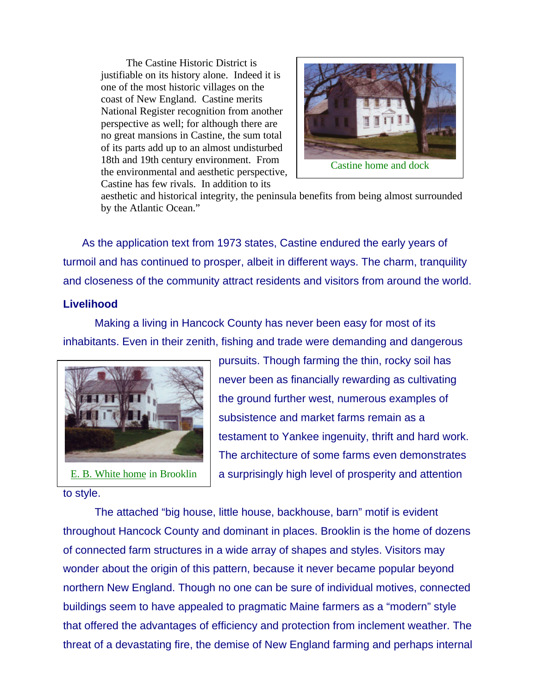The Castine Historic District is justifiable on its history alone. Indeed it is one of the most historic villages on the coast of New England. Castine merits National Register recognition from another perspective as well; for although there are no great mansions in Castine, the sum total of its parts add up to an almost undisturbed 18th and 19th century environment. From the environmental and aesthetic perspective, Castine has few rivals. In addition to its



aesthetic and historical integrity, the peninsula benefits from being almost surrounded by the Atlantic Ocean."

As the application text from 1973 states, Castine endured the early years of turmoil and has continued to prosper, albeit in different ways. The charm, tranquility and closeness of the community attract residents and visitors from around the world.

## **Livelihood**

Making a living in Hancock County has never been easy for most of its inhabitants. Even in their zenith, fishing and trade were demanding and dangerous



to style.

pursuits. Though farming the thin, rocky soil has never been as financially rewarding as cultivating the ground further west, numerous examples of subsistence and market farms remain as a testament to Yankee ingenuity, thrift and hard work. The architecture of some farms even demonstrates a surprisingly high level of prosperity and attention

The attached "big house, little house, backhouse, barn" motif is evident throughout Hancock County and dominant in places. Brooklin is the home of dozens of connected farm structures in a wide array of shapes and styles. Visitors may wonder about the origin of this pattern, because it never became popular beyond northern New England. Though no one can be sure of individual motives, connected buildings seem to have appealed to pragmatic Maine farmers as a "modern" style that offered the advantages of efficiency and protection from inclement weather. The threat of a devastating fire, the demise of New England farming and perhaps internal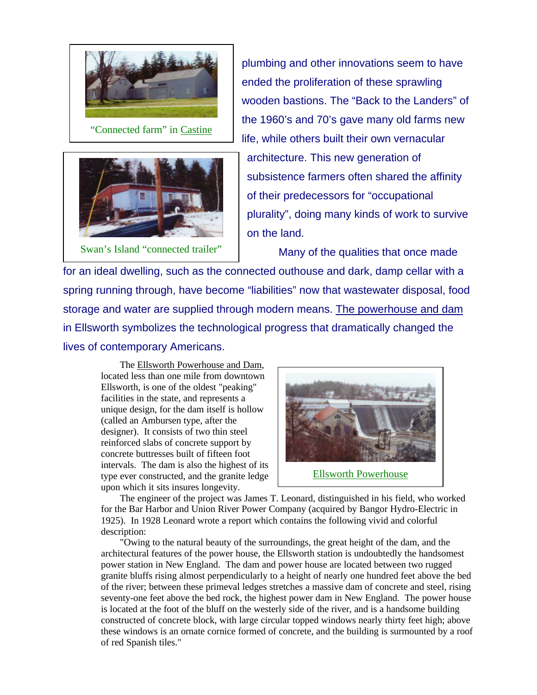



Swan's Island "connected trailer"

plumbing and other innovations seem to have ended the proliferation of these sprawling wooden bastions. The "Back to the Landers" of the 1960's and 70's gave many old farms new life, while others built their own vernacular architecture. This new generation of subsistence farmers often shared the affinity of their predecessors for "occupational

plurality", doing many kinds of work to survive on the land.

Many of the qualities that once made

for an ideal dwelling, such as the connected outhouse and dark, damp cellar with a spring running through, have become "liabilities" now that wastewater disposal, food storage and water are supplied through modern means. The powerhouse and dam in Ellsworth symbolizes the technological progress that dramatically changed the lives of contemporary Americans.

The Ellsworth Powerhouse and Dam, located less than one mile from downtown Ellsworth, is one of the oldest "peaking" facilities in the state, and represents a unique design, for the dam itself is hollow (called an Ambursen type, after the designer). It consists of two thin steel reinforced slabs of concrete support by concrete buttresses built of fifteen foot intervals. The dam is also the highest of its type ever constructed, and the granite ledge upon which it sits insures longevity.



The engineer of the project was James T. Leonard, distinguished in his field, who worked for the Bar Harbor and Union River Power Company (acquired by Bangor Hydro-Electric in 1925). In 1928 Leonard wrote a report which contains the following vivid and colorful description:

"Owing to the natural beauty of the surroundings, the great height of the dam, and the architectural features of the power house, the Ellsworth station is undoubtedly the handsomest power station in New England. The dam and power house are located between two rugged granite bluffs rising almost perpendicularly to a height of nearly one hundred feet above the bed of the river; between these primeval ledges stretches a massive dam of concrete and steel, rising seventy-one feet above the bed rock, the highest power dam in New England. The power house is located at the foot of the bluff on the westerly side of the river, and is a handsome building constructed of concrete block, with large circular topped windows nearly thirty feet high; above these windows is an ornate cornice formed of concrete, and the building is surmounted by a roof of red Spanish tiles."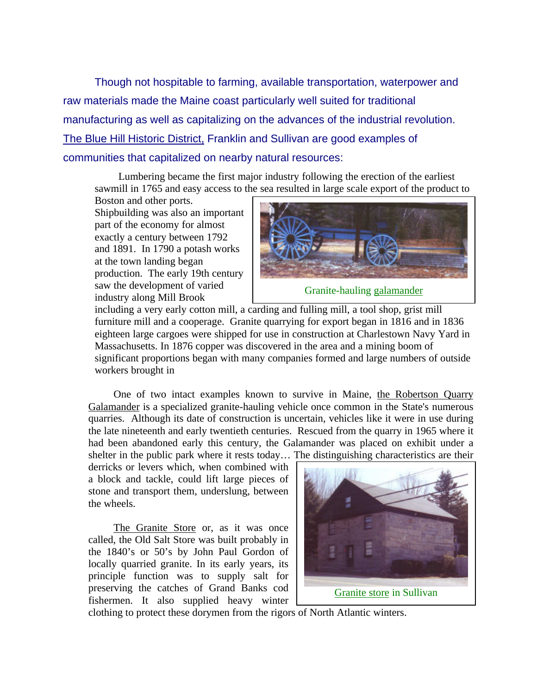Though not hospitable to farming, available transportation, waterpower and raw materials made the Maine coast particularly well suited for traditional manufacturing as well as capitalizing on the advances of the industrial revolution. The Blue Hill Historic District, Franklin and Sullivan are good examples of communities that capitalized on nearby natural resources:

Lumbering became the first major industry following the erection of the earliest sawmill in 1765 and easy access to the sea resulted in large scale export of the product to

Boston and other ports. Shipbuilding was also an important part of the economy for almost exactly a century between 1792 and 1891. In 1790 a potash works at the town landing began production. The early 19th century saw the development of varied industry along Mill Brook



including a very early cotton mill, a carding and fulling mill, a tool shop, grist mill furniture mill and a cooperage. Granite quarrying for export began in 1816 and in 1836 eighteen large cargoes were shipped for use in construction at Charlestown Navy Yard in Massachusetts. In 1876 copper was discovered in the area and a mining boom of

significant proportions began with many companies formed and large numbers of outside workers brought in

One of two intact examples known to survive in Maine, the Robertson Quarry Galamander is a specialized granite-hauling vehicle once common in the State's numerous quarries. Although its date of construction is uncertain, vehicles like it were in use during the late nineteenth and early twentieth centuries. Rescued from the quarry in 1965 where it had been abandoned early this century, the Galamander was placed on exhibit under a shelter in the public park where it rests today… The distinguishing characteristics are their

derricks or levers which, when combined with a block and tackle, could lift large pieces of stone and transport them, underslung, between the wheels.

The Granite Store or, as it was once called, the Old Salt Store was built probably in the 1840's or 50's by John Paul Gordon of locally quarried granite. In its early years, its principle function was to supply salt for preserving the catches of Grand Banks cod fishermen. It also supplied heavy winter



clothing to protect these dorymen from the rigors of North Atlantic winters.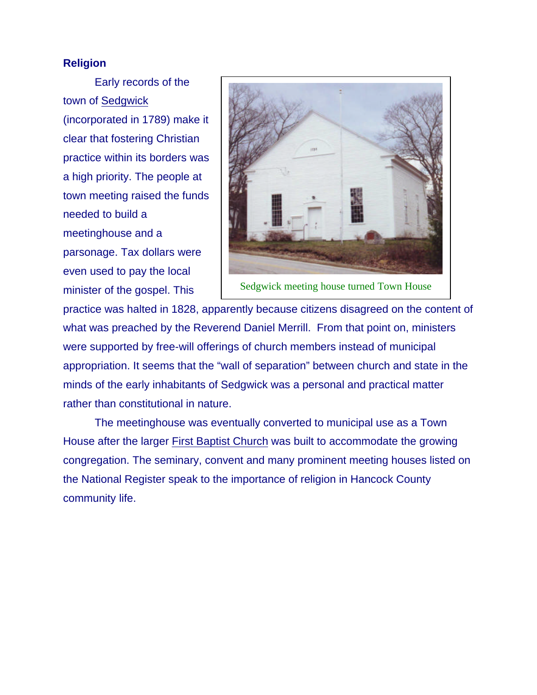## **Religion**

Early records of the town of Sedgwick (incorporated in 1789) make it clear that fostering Christian practice within its borders was a high priority. The people at town meeting raised the funds needed to build a meetinghouse and a parsonage. Tax dollars were even used to pay the local minister of the gospel. This



Sedgwick meeting house turned Town House

practice was halted in 1828, apparently because citizens disagreed on the content of what was preached by the Reverend Daniel Merrill. From that point on, ministers were supported by free-will offerings of church members instead of municipal appropriation. It seems that the "wall of separation" between church and state in the minds of the early inhabitants of Sedgwick was a personal and practical matter rather than constitutional in nature.

The meetinghouse was eventually converted to municipal use as a Town House after the larger First Baptist Church was built to accommodate the growing congregation. The seminary, convent and many prominent meeting houses listed on the National Register speak to the importance of religion in Hancock County community life.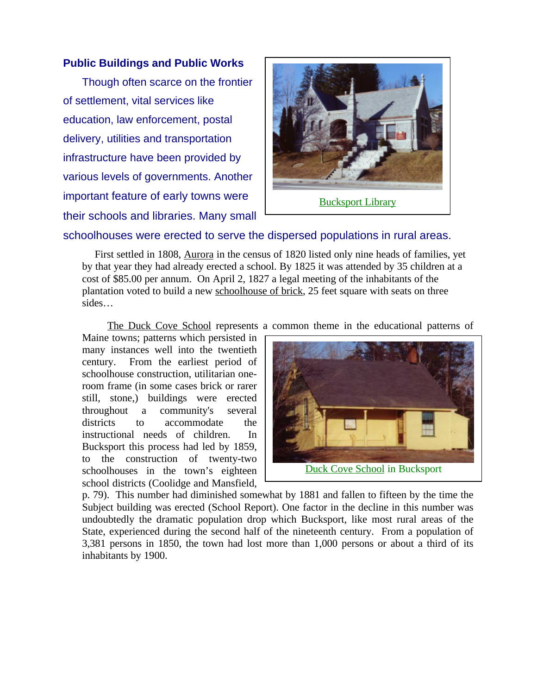## **Public Buildings and Public Works**

Though often scarce on the frontier of settlement, vital services like education, law enforcement, postal delivery, utilities and transportation infrastructure have been provided by various levels of governments. Another important feature of early towns were their schools and libraries. Many small



Bucksport Library

# schoolhouses were erected to serve the dispersed populations in rural areas.

First settled in 1808, Aurora in the census of 1820 listed only nine heads of families, yet by that year they had already erected a school. By 1825 it was attended by 35 children at a cost of \$85.00 per annum. On April 2, 1827 a legal meeting of the inhabitants of the plantation voted to build a new schoolhouse of brick, 25 feet square with seats on three sides…

The Duck Cove School represents a common theme in the educational patterns of

Maine towns; patterns which persisted in many instances well into the twentieth century. From the earliest period of schoolhouse construction, utilitarian oneroom frame (in some cases brick or rarer still, stone,) buildings were erected throughout a community's several districts to accommodate the instructional needs of children. In Bucksport this process had led by 1859, to the construction of twenty-two schoolhouses in the town's eighteen school districts (Coolidge and Mansfield,



p. 79). This number had diminished somewhat by 1881 and fallen to fifteen by the time the Subject building was erected (School Report). One factor in the decline in this number was undoubtedly the dramatic population drop which Bucksport, like most rural areas of the State, experienced during the second half of the nineteenth century. From a population of 3,381 persons in 1850, the town had lost more than 1,000 persons or about a third of its inhabitants by 1900.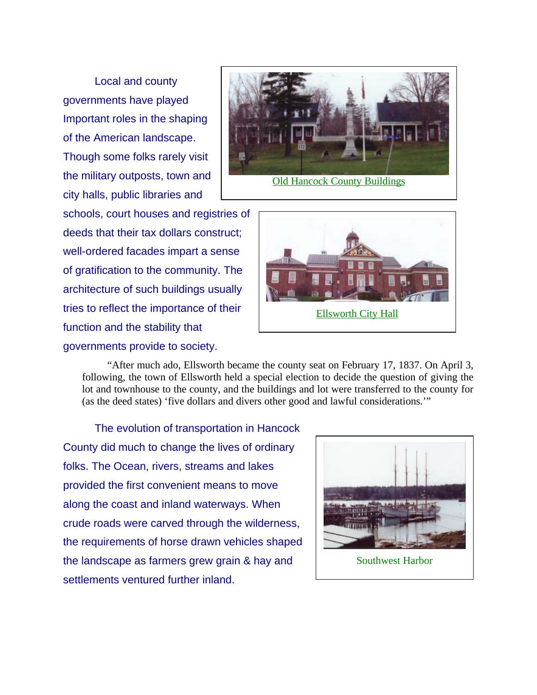Local and county governments have played Important roles in the shaping of the American landscape. Though some folks rarely visit the military outposts, town and city halls, public libraries and

schools, court houses and registries of deeds that their tax dollars construct; well-ordered facades impart a sense of gratification to the community. The architecture of such buildings usually tries to reflect the importance of their function and the stability that governments provide to society.



Ellsworth City Hall

"After much ado, Ellsworth became the county seat on February 17, 1837. On April 3, following, the town of Ellsworth held a special election to decide the question of giving the lot and townhouse to the county, and the buildings and lot were transferred to the county for (as the deed states) 'five dollars and divers other good and lawful considerations.'"

The evolution of transportation in Hancock County did much to change the lives of ordinary folks. The Ocean, rivers, streams and lakes provided the first convenient means to move along the coast and inland waterways. When crude roads were carved through the wilderness, the requirements of horse drawn vehicles shaped the landscape as farmers grew grain & hay and settlements ventured further inland.



Southwest Harbor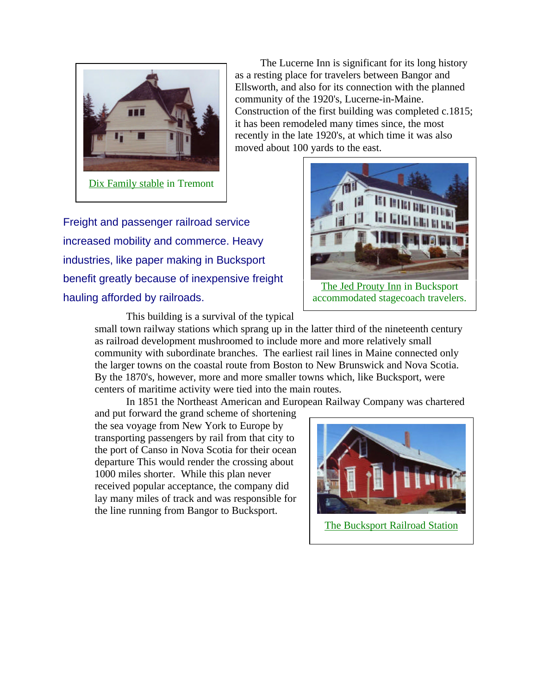

The Lucerne Inn is significant for its long history as a resting place for travelers between Bangor and Ellsworth, and also for its connection with the planned community of the 1920's, Lucerne-in-Maine. Construction of the first building was completed c.1815; it has been remodeled many times since, the most recently in the late 1920's, at which time it was also moved about 100 yards to the east.

Freight and passenger railroad service increased mobility and commerce. Heavy industries, like paper making in Bucksport benefit greatly because of inexpensive freight hauling afforded by railroads.



The Jed Prouty Inn in Bucksport accommodated stagecoach travelers.

This building is a survival of the typical

small town railway stations which sprang up in the latter third of the nineteenth century as railroad development mushroomed to include more and more relatively small community with subordinate branches. The earliest rail lines in Maine connected only the larger towns on the coastal route from Boston to New Brunswick and Nova Scotia. By the 1870's, however, more and more smaller towns which, like Bucksport, were centers of maritime activity were tied into the main routes.

In 1851 the Northeast American and European Railway Company was chartered

and put forward the grand scheme of shortening the sea voyage from New York to Europe by transporting passengers by rail from that city to the port of Canso in Nova Scotia for their ocean departure This would render the crossing about 1000 miles shorter. While this plan never received popular acceptance, the company did lay many miles of track and was responsible for the line running from Bangor to Bucksport.

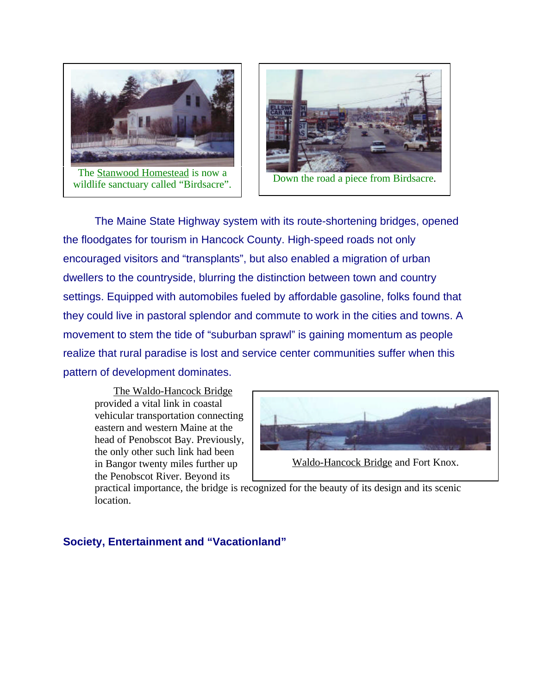

The Stanwood Homestead is now a The **Statistical Statistical** is now a<br>wildlife sanctuary called "Birdsacre". Down the road a piece from Birdsacre.



The Maine State Highway system with its route-shortening bridges, opened the floodgates for tourism in Hancock County. High-speed roads not only encouraged visitors and "transplants", but also enabled a migration of urban dwellers to the countryside, blurring the distinction between town and country settings. Equipped with automobiles fueled by affordable gasoline, folks found that they could live in pastoral splendor and commute to work in the cities and towns. A movement to stem the tide of "suburban sprawl" is gaining momentum as people realize that rural paradise is lost and service center communities suffer when this pattern of development dominates.

The Waldo-Hancock Bridge provided a vital link in coastal vehicular transportation connecting eastern and western Maine at the head of Penobscot Bay. Previously, the only other such link had been in Bangor twenty miles further up the Penobscot River. Beyond its



Waldo-Hancock Bridge and Fort Knox.

practical importance, the bridge is recognized for the beauty of its design and its scenic location.

# **Society, Entertainment and "Vacationland"**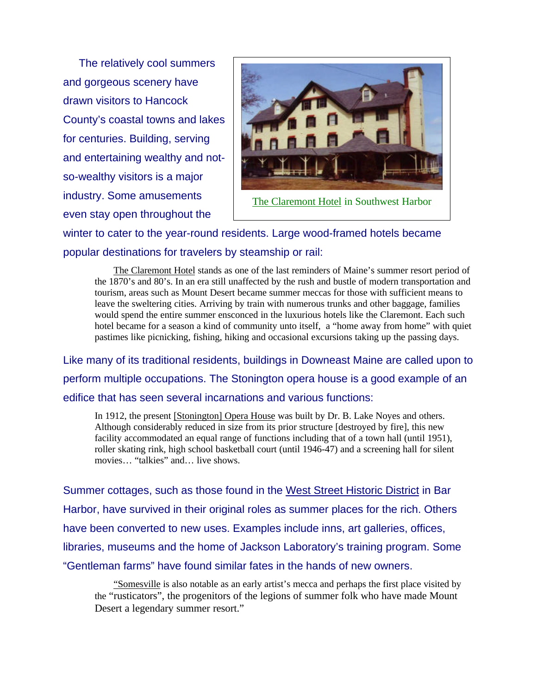The relatively cool summers and gorgeous scenery have drawn visitors to Hancock County's coastal towns and lakes for centuries. Building, serving and entertaining wealthy and notso-wealthy visitors is a major industry. Some amusements even stay open throughout the



winter to cater to the year-round residents. Large wood-framed hotels became popular destinations for travelers by steamship or rail:

The Claremont Hotel stands as one of the last reminders of Maine's summer resort period of the 1870's and 80's. In an era still unaffected by the rush and bustle of modern transportation and tourism, areas such as Mount Desert became summer meccas for those with sufficient means to leave the sweltering cities. Arriving by train with numerous trunks and other baggage, families would spend the entire summer ensconced in the luxurious hotels like the Claremont. Each such hotel became for a season a kind of community unto itself, a "home away from home" with quiet pastimes like picnicking, fishing, hiking and occasional excursions taking up the passing days.

Like many of its traditional residents, buildings in Downeast Maine are called upon to perform multiple occupations. The Stonington opera house is a good example of an edifice that has seen several incarnations and various functions:

In 1912, the present [Stonington] Opera House was built by Dr. B. Lake Noyes and others. Although considerably reduced in size from its prior structure [destroyed by fire], this new facility accommodated an equal range of functions including that of a town hall (until 1951), roller skating rink, high school basketball court (until 1946-47) and a screening hall for silent movies… "talkies" and… live shows.

Summer cottages, such as those found in the West Street Historic District in Bar Harbor, have survived in their original roles as summer places for the rich. Others have been converted to new uses. Examples include inns, art galleries, offices, libraries, museums and the home of Jackson Laboratory's training program. Some "Gentleman farms" have found similar fates in the hands of new owners.

"Somesville is also notable as an early artist's mecca and perhaps the first place visited by the "rusticators", the progenitors of the legions of summer folk who have made Mount Desert a legendary summer resort."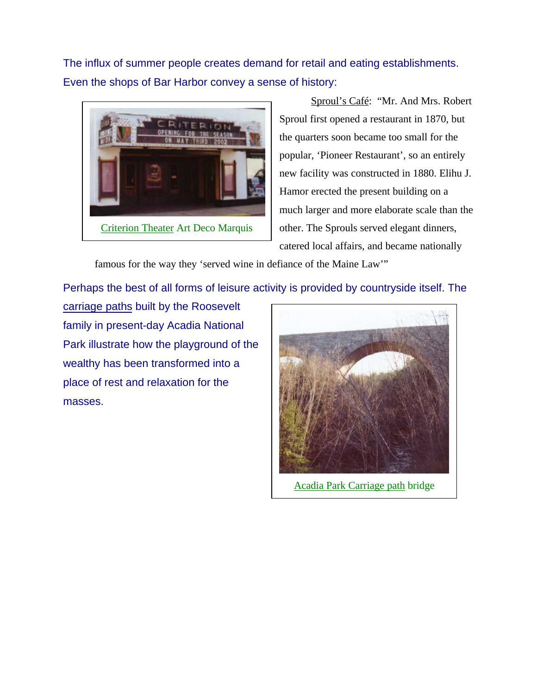The influx of summer people creates demand for retail and eating establishments. Even the shops of Bar Harbor convey a sense of history:



Sproul's Café: "Mr. And Mrs. Robert Sproul first opened a restaurant in 1870, but the quarters soon became too small for the popular, 'Pioneer Restaurant', so an entirely new facility was constructed in 1880. Elihu J. Hamor erected the present building on a much larger and more elaborate scale than the other. The Sprouls served elegant dinners, catered local affairs, and became nationally

famous for the way they 'served wine in defiance of the Maine Law'"

Perhaps the best of all forms of leisure activity is provided by countryside itself. The

carriage paths built by the Roosevelt family in present-day Acadia National Park illustrate how the playground of the wealthy has been transformed into a place of rest and relaxation for the masses.